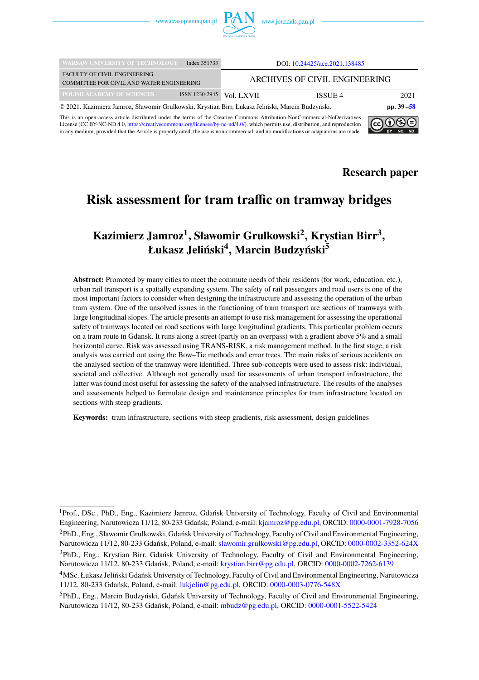

| <b>WARSAW UNIVERSITY OF TECHNOLOGY</b>                                                           | Index 351733   | DOI: 10.24425/ace.2021.138485 |         |               |
|--------------------------------------------------------------------------------------------------|----------------|-------------------------------|---------|---------------|
| <b>FACULTY OF CIVIL ENGINEERING</b><br>COMMITTEE FOR CIVIL AND WATER ENGINEERING                 |                | ARCHIVES OF CIVIL ENGINEERING |         |               |
| POLISH ACADEMY OF SCIENCES                                                                       | ISSN 1230-2945 | Vol. LXVII                    | ISSUE 4 | 2021          |
| © 2021. Kazimierz Jamroz, Sławomir Grulkowski, Krystian Birr, Łukasz Jeliński, Marcin Budzyński. |                |                               |         | pp. $39 - 58$ |

This is an open-access article distributed under the terms of the Creative Commons Attribution-NonCommercial-NoDerivatives License (CC BY-NC-ND 4.0, [https://creativecommons.org/licenses/by-nc-nd/4.0/\)](https://creativecommons.org/licenses/by-nc-nd/4.0/), which permits use, distribution, and reproduction in any medium, provided that the Article is properly cited, the use is non-commercial, and no modifications or adaptations are made.



 $(c<sub>c</sub>)$ 

 $0$ 9 $\in$ 

# **Risk assessment for tram traffic on tramway bridges**

## **Kazimierz Jamroz<sup>1</sup> , Sławomir Grulkowski<sup>2</sup> , Krystian Birr<sup>3</sup> , Łukasz Jeliński<sup>4</sup> , Marcin Budzyński<sup>5</sup>**

**Abstract:** Promoted by many cities to meet the commute needs of their residents (for work, education, etc.), urban rail transport is a spatially expanding system. The safety of rail passengers and road users is one of the most important factors to consider when designing the infrastructure and assessing the operation of the urban tram system. One of the unsolved issues in the functioning of tram transport are sections of tramways with large longitudinal slopes. The article presents an attempt to use risk management for assessing the operational safety of tramways located on road sections with large longitudinal gradients. This particular problem occurs on a tram route in Gdansk. It runs along a street (partly on an overpass) with a gradient above 5% and a small horizontal curve. Risk was assessed using TRANS-RISK, a risk management method. In the first stage, a risk analysis was carried out using the Bow–Tie methods and error trees. The main risks of serious accidents on the analysed section of the tramway were identified. Three sub-concepts were used to assess risk: individual, societal and collective. Although not generally used for assessments of urban transport infrastructure, the latter was found most useful for assessing the safety of the analysed infrastructure. The results of the analyses and assessments helped to formulate design and maintenance principles for tram infrastructure located on sections with steep gradients.

**Keywords:** tram infrastructure, sections with steep gradients, risk assessment, design guidelines

<sup>1</sup>Prof., DSc., PhD., Eng., Kazimierz Jamroz, Gdańsk University of Technology, Faculty of Civil and Environmental Engineering, Narutowicza 11/12, 80-233 Gdańsk, Poland, e-mail: [kjamroz@pg.edu.pl,](mailto:kjamroz@pg.edu.pl) ORCID: [0000-0001-7928-7056](https://orcid.org/0000-0001-7928-7056) <sup>2</sup>PhD., Eng., Sławomir Grulkowski, Gdańsk University of Technology, Faculty of Civil and Environmental Engineering, Narutowicza 11/12, 80-233 Gdańsk, Poland, e-mail: [slawomir.grulkowski@pg.edu.pl,](mailto:slawomir.grulkowski@pg.edu.pl) ORCID: [0000-0002-3352-624X](https://orcid.org/0000-0002-3352-624X) <sup>3</sup>PhD., Eng., Krystian Birr, Gdańsk University of Technology, Faculty of Civil and Environmental Engineering, Narutowicza 11/12, 80-233 Gdańsk, Poland, e-mail: [krystian.birr@pg.edu.pl,](mailto:krystian.birr@pg.edu.pl) ORCID: [0000-0002-7262-6139](https://orcid.org/0000-0002-7262-6139)

<sup>4</sup>MSc. Łukasz Jeliński Gdańsk University of Technology, Faculty of Civil and Environmental Engineering, Narutowicza 11/12, 80-233 Gdańsk, Poland, e-mail: [lukjelin@pg.edu.pl,](mailto:lukjelin@pg.edu.pl) ORCID: [0000-0003-0776-548X](https://orcid.org/0000-0003-0776-548X)

<sup>5</sup>PhD., Eng., Marcin Budzyński, Gdańsk University of Technology, Faculty of Civil and Environmental Engineering, Narutowicza 11/12, 80-233 Gdańsk, Poland, e-mail: [mbudz@pg.edu.pl,](mailto:mbudz@pg.edu.pl) ORCID: [0000-0001-5522-5424](https://orcid.org/0000-0001-5522-5424)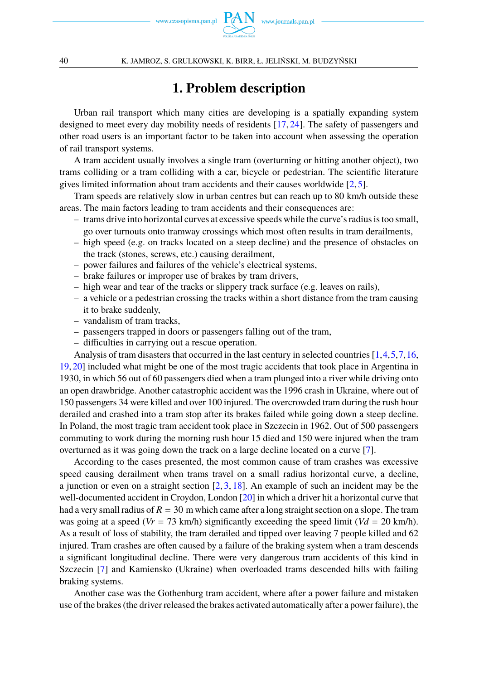

# **1. Problem description**

Urban rail transport which many cities are developing is a spatially expanding system designed to meet every day mobility needs of residents [\[17,](#page-18-0) [24\]](#page-18-1). The safety of passengers and other road users is an important factor to be taken into account when assessing the operation of rail transport systems.

A tram accident usually involves a single tram (overturning or hitting another object), two trams colliding or a tram colliding with a car, bicycle or pedestrian. The scientific literature gives limited information about tram accidents and their causes worldwide  $[2, 5]$  $[2, 5]$  $[2, 5]$ .

Tram speeds are relatively slow in urban centres but can reach up to 80 km/h outside these areas. The main factors leading to tram accidents and their consequences are:

- trams drive into horizontal curves at excessive speeds while the curve's radius is too small, go over turnouts onto tramway crossings which most often results in tram derailments,
- high speed (e.g. on tracks located on a steep decline) and the presence of obstacles on the track (stones, screws, etc.) causing derailment,
- power failures and failures of the vehicle's electrical systems,
- brake failures or improper use of brakes by tram drivers,
- high wear and tear of the tracks or slippery track surface (e.g. leaves on rails),
- a vehicle or a pedestrian crossing the tracks within a short distance from the tram causing it to brake suddenly,
- vandalism of tram tracks,
- passengers trapped in doors or passengers falling out of the tram,
- difficulties in carrying out a rescue operation.

Analysis of tram disasters that occurred in the last century in selected countries [\[1,](#page-17-1)[4,](#page-18-3)[5,](#page-18-2)[7,](#page-18-4)[16,](#page-18-5) [19,](#page-18-6)[20\]](#page-18-7) included what might be one of the most tragic accidents that took place in Argentina in 1930, in which 56 out of 60 passengers died when a tram plunged into a river while driving onto an open drawbridge. Another catastrophic accident was the 1996 crash in Ukraine, where out of 150 passengers 34 were killed and over 100 injured. The overcrowded tram during the rush hour derailed and crashed into a tram stop after its brakes failed while going down a steep decline. In Poland, the most tragic tram accident took place in Szczecin in 1962. Out of 500 passengers commuting to work during the morning rush hour 15 died and 150 were injured when the tram overturned as it was going down the track on a large decline located on a curve [\[7\]](#page-18-4).

According to the cases presented, the most common cause of tram crashes was excessive speed causing derailment when trams travel on a small radius horizontal curve, a decline, a junction or even on a straight section  $[2, 3, 18]$  $[2, 3, 18]$  $[2, 3, 18]$  $[2, 3, 18]$  $[2, 3, 18]$ . An example of such an incident may be the well-documented accident in Croydon, London [\[20\]](#page-18-7) in which a driver hit a horizontal curve that had a very small radius of  $R = 30$  m which came after a long straight section on a slope. The tram was going at a speed ( $V = 73$  km/h) significantly exceeding the speed limit ( $Vd = 20$  km/h). As a result of loss of stability, the tram derailed and tipped over leaving 7 people killed and 62 injured. Tram crashes are often caused by a failure of the braking system when a tram descends a significant longitudinal decline. There were very dangerous tram accidents of this kind in Szczecin [\[7\]](#page-18-4) and Kamiensko (Ukraine) when overloaded trams descended hills with failing braking systems.

Another case was the Gothenburg tram accident, where after a power failure and mistaken use of the brakes (the driver released the brakes activated automatically after a power failure), the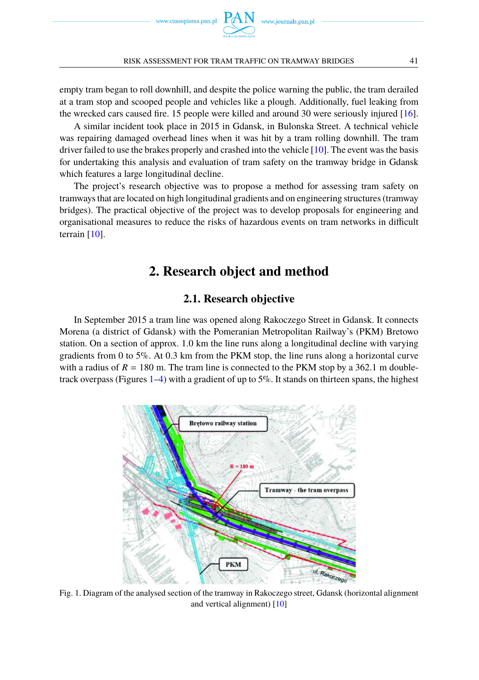

empty tram began to roll downhill, and despite the police warning the public, the tram derailed at a tram stop and scooped people and vehicles like a plough. Additionally, fuel leaking from the wrecked cars caused fire. 15 people were killed and around 30 were seriously injured [\[16\]](#page-18-5).

A similar incident took place in 2015 in Gdansk, in Bulonska Street. A technical vehicle was repairing damaged overhead lines when it was hit by a tram rolling downhill. The tram driver failed to use the brakes properly and crashed into the vehicle [\[10\]](#page-18-10). The event was the basis for undertaking this analysis and evaluation of tram safety on the tramway bridge in Gdansk which features a large longitudinal decline.

The project's research objective was to propose a method for assessing tram safety on tramways that are located on high longitudinal gradients and on engineering structures (tramway bridges). The practical objective of the project was to develop proposals for engineering and organisational measures to reduce the risks of hazardous events on tram networks in difficult terrain [\[10\]](#page-18-10).

## **2. Research object and method**

### **2.1. Research objective**

In September 2015 a tram line was opened along Rakoczego Street in Gdansk. It connects Morena (a district of Gdansk) with the Pomeranian Metropolitan Railway's (PKM) Bretowo station. On a section of approx. 1.0 km the line runs along a longitudinal decline with varying gradients from 0 to 5%. At 0.3 km from the PKM stop, the line runs along a horizontal curve with a radius of  $R = 180$  m. The tram line is connected to the PKM stop by a 362.1 m double-track overpass (Figures [1](#page-2-0)[–4\)](#page-4-0) with a gradient of up to  $5\%$ . It stands on thirteen spans, the highest

<span id="page-2-0"></span>

Fig. 1. Diagram of the analysed section of the tramway in Rakoczego street, Gdansk (horizontal alignment and vertical alignment) [\[10\]](#page-18-10)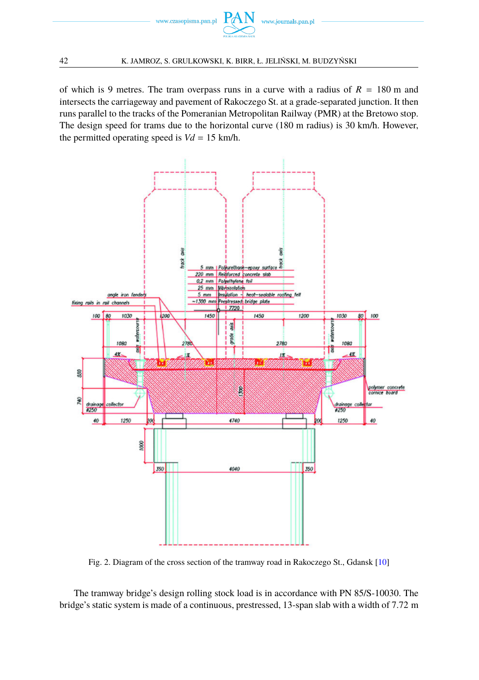

of which is 9 metres. The tram overpass runs in a curve with a radius of  $R = 180$  m and intersects the carriageway and pavement of Rakoczego St. at a grade-separated junction. It then runs parallel to the tracks of the Pomeranian Metropolitan Railway (PMR) at the Bretowo stop. The design speed for trams due to the horizontal curve (180 m radius) is 30 km/h. However, the permitted operating speed is  $Vd = 15$  km/h.



Fig. 2. Diagram of the cross section of the tramway road in Rakoczego St., Gdansk [\[10\]](#page-18-10)

The tramway bridge's design rolling stock load is in accordance with PN 85/S-10030. The bridge's static system is made of a continuous, prestressed, 13-span slab with a width of 7.72 m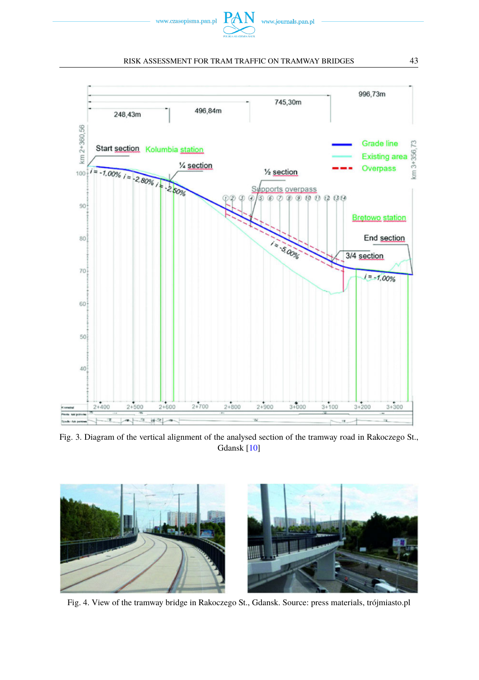

<span id="page-4-0"></span>

Fig. 3. Diagram of the vertical alignment of the analysed section of the tramway road in Rakoczego St., Gdansk [\[10\]](#page-18-10)



Fig. 4. View of the tramway bridge in Rakoczego St., Gdansk. Source: press materials, trójmiasto.pl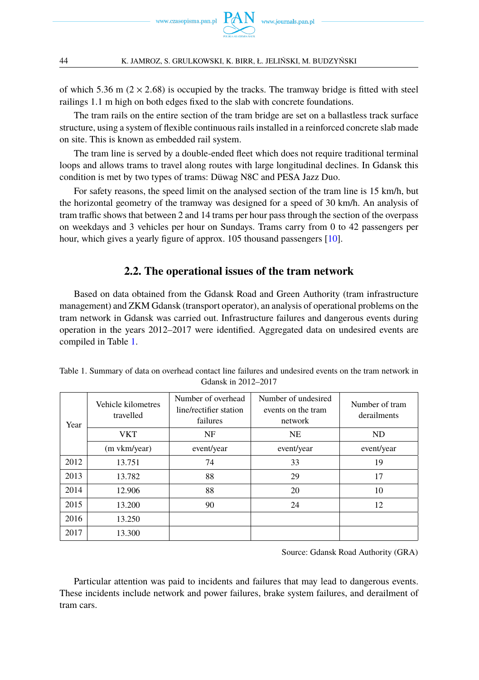

of which 5.36 m ( $2 \times 2.68$ ) is occupied by the tracks. The tramway bridge is fitted with steel railings 1.1 m high on both edges fixed to the slab with concrete foundations.

The tram rails on the entire section of the tram bridge are set on a ballastless track surface structure, using a system of flexible continuous rails installed in a reinforced concrete slab made on site. This is known as embedded rail system.

The tram line is served by a double-ended fleet which does not require traditional terminal loops and allows trams to travel along routes with large longitudinal declines. In Gdansk this condition is met by two types of trams: Düwag N8C and PESA Jazz Duo.

For safety reasons, the speed limit on the analysed section of the tram line is 15 km/h, but the horizontal geometry of the tramway was designed for a speed of 30 km/h. An analysis of tram traffic shows that between 2 and 14 trams per hour pass through the section of the overpass on weekdays and 3 vehicles per hour on Sundays. Trams carry from 0 to 42 passengers per hour, which gives a yearly figure of approx. 105 thousand passengers [\[10\]](#page-18-10).

### **2.2. The operational issues of the tram network**

Based on data obtained from the Gdansk Road and Green Authority (tram infrastructure management) and ZKM Gdansk (transport operator), an analysis of operational problems on the tram network in Gdansk was carried out. Infrastructure failures and dangerous events during operation in the years 2012–2017 were identified. Aggregated data on undesired events are compiled in Table [1.](#page-5-0)

| Year         | Vehicle kilometres<br>travelled | Number of overhead<br>line/rectifier station<br>failures | Number of undesired<br>events on the tram<br>network | Number of tram<br>derailments |
|--------------|---------------------------------|----------------------------------------------------------|------------------------------------------------------|-------------------------------|
|              | <b>VKT</b>                      | NF                                                       | <b>NE</b>                                            | <b>ND</b>                     |
| (m vkm/year) |                                 | event/year                                               | event/year                                           | event/year                    |
| 2012         | 13.751                          | 74                                                       | 33                                                   | 19                            |
| 2013         | 13.782                          | 88                                                       | 29                                                   | 17                            |
| 2014         | 12.906                          | 88                                                       | 20                                                   | 10                            |
| 2015         | 13.200                          | 90                                                       | 24                                                   | 12                            |
| 2016         | 13.250                          |                                                          |                                                      |                               |
| 2017         | 13.300                          |                                                          |                                                      |                               |

<span id="page-5-0"></span>Table 1. Summary of data on overhead contact line failures and undesired events on the tram network in Gdansk in 2012–2017

Source: Gdansk Road Authority (GRA)

Particular attention was paid to incidents and failures that may lead to dangerous events. These incidents include network and power failures, brake system failures, and derailment of tram cars.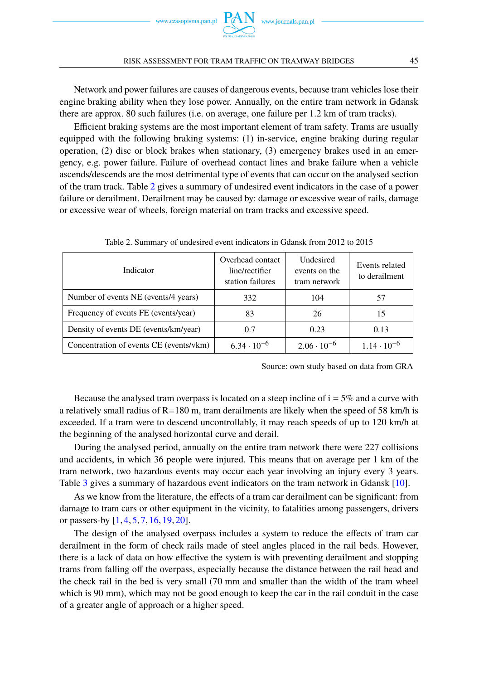

Network and power failures are causes of dangerous events, because tram vehicles lose their engine braking ability when they lose power. Annually, on the entire tram network in Gdansk there are approx. 80 such failures (i.e. on average, one failure per 1.2 km of tram tracks).

Efficient braking systems are the most important element of tram safety. Trams are usually equipped with the following braking systems: (1) in-service, engine braking during regular operation, (2) disc or block brakes when stationary, (3) emergency brakes used in an emergency, e.g. power failure. Failure of overhead contact lines and brake failure when a vehicle ascends/descends are the most detrimental type of events that can occur on the analysed section of the tram track. Table [2](#page-6-0) gives a summary of undesired event indicators in the case of a power failure or derailment. Derailment may be caused by: damage or excessive wear of rails, damage or excessive wear of wheels, foreign material on tram tracks and excessive speed.

<span id="page-6-0"></span>

| Indicator                               | Overhead contact<br>line/rectifier<br>station failures | Undesired<br>events on the<br>tram network | Events related<br>to derailment |
|-----------------------------------------|--------------------------------------------------------|--------------------------------------------|---------------------------------|
| Number of events NE (events/4 years)    | 332                                                    | 104                                        | 57                              |
| Frequency of events FE (events/year)    | 83                                                     | 26                                         | 15                              |
| Density of events DE (events/km/year)   | 0.7                                                    | 0.23                                       | 0.13                            |
| Concentration of events CE (events/vkm) | $6.34 \cdot 10^{-6}$                                   | $2.06 \cdot 10^{-6}$                       | $1.14 \cdot 10^{-6}$            |

Table 2. Summary of undesired event indicators in Gdansk from 2012 to 2015

Source: own study based on data from GRA

Because the analysed tram overpass is located on a steep incline of  $i = 5\%$  and a curve with a relatively small radius of  $R=180$  m, tram derailments are likely when the speed of 58 km/h is exceeded. If a tram were to descend uncontrollably, it may reach speeds of up to 120 km/h at the beginning of the analysed horizontal curve and derail.

During the analysed period, annually on the entire tram network there were 227 collisions and accidents, in which 36 people were injured. This means that on average per 1 km of the tram network, two hazardous events may occur each year involving an injury every 3 years. Table [3](#page-7-0) gives a summary of hazardous event indicators on the tram network in Gdansk [\[10\]](#page-18-10).

As we know from the literature, the effects of a tram car derailment can be significant: from damage to tram cars or other equipment in the vicinity, to fatalities among passengers, drivers or passers-by [\[1,](#page-17-1) [4,](#page-18-3) [5,](#page-18-2) [7,](#page-18-4) [16,](#page-18-5) [19,](#page-18-6) [20\]](#page-18-7).

The design of the analysed overpass includes a system to reduce the effects of tram car derailment in the form of check rails made of steel angles placed in the rail beds. However, there is a lack of data on how effective the system is with preventing derailment and stopping trams from falling off the overpass, especially because the distance between the rail head and the check rail in the bed is very small (70 mm and smaller than the width of the tram wheel which is 90 mm), which may not be good enough to keep the car in the rail conduit in the case of a greater angle of approach or a higher speed.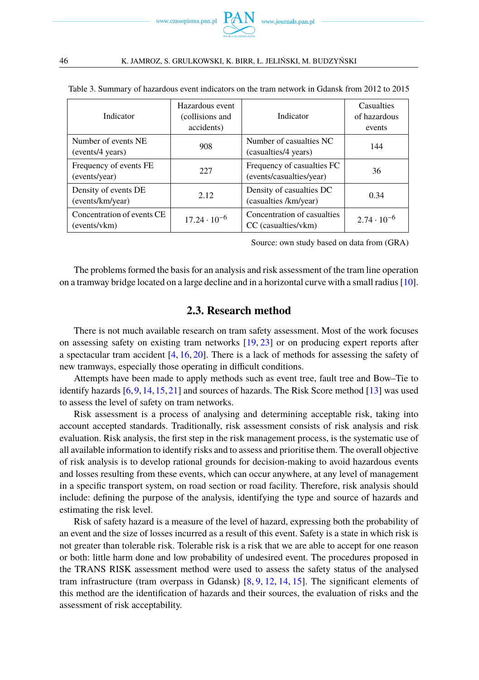

| Indicator                                  | Hazardous event<br>(collisions and<br>accidents) | Indicator                                              | Casualties<br>of hazardous<br>events |
|--------------------------------------------|--------------------------------------------------|--------------------------------------------------------|--------------------------------------|
| Number of events NE<br>(events/4 years)    | 908                                              | Number of casualties NC<br>(casualties/4 years)        | 144                                  |
| Frequency of events FE<br>(events/year)    | 227                                              | Frequency of casualties FC<br>(events/casualties/year) | 36                                   |
| Density of events DE<br>(events/km/year)   | 2.12.                                            | Density of casualties DC<br>(casualties /km/year)      | 0.34                                 |
| Concentration of events CE<br>(events/vkm) | $17.24 \cdot 10^{-6}$                            | Concentration of casualties<br>CC (casualties/vkm)     | $2.74 \cdot 10^{-6}$                 |

<span id="page-7-0"></span>Table 3. Summary of hazardous event indicators on the tram network in Gdansk from 2012 to 2015

Source: own study based on data from (GRA)

The problems formed the basis for an analysis and risk assessment of the tram line operation on a tramway bridge located on a large decline and in a horizontal curve with a small radius [\[10\]](#page-18-10).

### **2.3. Research method**

There is not much available research on tram safety assessment. Most of the work focuses on assessing safety on existing tram networks [\[19,](#page-18-6) [23\]](#page-18-11) or on producing expert reports after a spectacular tram accident [\[4,](#page-18-3) [16,](#page-18-5) [20\]](#page-18-7). There is a lack of methods for assessing the safety of new tramways, especially those operating in difficult conditions.

Attempts have been made to apply methods such as event tree, fault tree and Bow–Tie to identify hazards [\[6,](#page-18-12)[9,](#page-18-13)[14,](#page-18-14)[15,](#page-18-15)[21\]](#page-18-16) and sources of hazards. The Risk Score method [\[13\]](#page-18-17) was used to assess the level of safety on tram networks.

Risk assessment is a process of analysing and determining acceptable risk, taking into account accepted standards. Traditionally, risk assessment consists of risk analysis and risk evaluation. Risk analysis, the first step in the risk management process, is the systematic use of all available information to identify risks and to assess and prioritise them. The overall objective of risk analysis is to develop rational grounds for decision-making to avoid hazardous events and losses resulting from these events, which can occur anywhere, at any level of management in a specific transport system, on road section or road facility. Therefore, risk analysis should include: defining the purpose of the analysis, identifying the type and source of hazards and estimating the risk level.

Risk of safety hazard is a measure of the level of hazard, expressing both the probability of an event and the size of losses incurred as a result of this event. Safety is a state in which risk is not greater than tolerable risk. Tolerable risk is a risk that we are able to accept for one reason or both: little harm done and low probability of undesired event. The procedures proposed in the TRANS RISK assessment method were used to assess the safety status of the analysed tram infrastructure (tram overpass in Gdansk) [\[8,](#page-18-18) [9,](#page-18-13) [12,](#page-18-19) [14,](#page-18-14) [15\]](#page-18-15). The significant elements of this method are the identification of hazards and their sources, the evaluation of risks and the assessment of risk acceptability.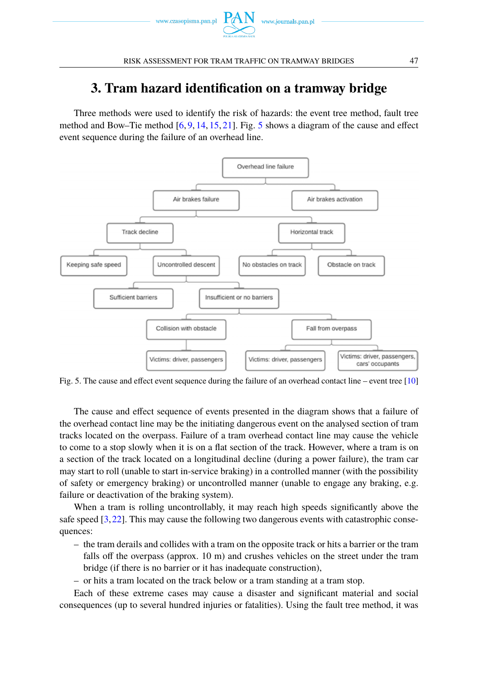

## **3. Tram hazard identification on a tramway bridge**

Three methods were used to identify the risk of hazards: the event tree method, fault tree method and Bow–Tie method  $[6, 9, 14, 15, 21]$  $[6, 9, 14, 15, 21]$  $[6, 9, 14, 15, 21]$  $[6, 9, 14, 15, 21]$  $[6, 9, 14, 15, 21]$  $[6, 9, 14, 15, 21]$  $[6, 9, 14, 15, 21]$  $[6, 9, 14, 15, 21]$  $[6, 9, 14, 15, 21]$ . Fig. [5](#page-8-0) shows a diagram of the cause and effect event sequence during the failure of an overhead line.

<span id="page-8-0"></span>

Fig. 5. The cause and effect event sequence during the failure of an overhead contact line – event tree [\[10\]](#page-18-10)

The cause and effect sequence of events presented in the diagram shows that a failure of the overhead contact line may be the initiating dangerous event on the analysed section of tram tracks located on the overpass. Failure of a tram overhead contact line may cause the vehicle to come to a stop slowly when it is on a flat section of the track. However, where a tram is on a section of the track located on a longitudinal decline (during a power failure), the tram car may start to roll (unable to start in-service braking) in a controlled manner (with the possibility of safety or emergency braking) or uncontrolled manner (unable to engage any braking, e.g. failure or deactivation of the braking system).

When a tram is rolling uncontrollably, it may reach high speeds significantly above the safe speed [\[3,](#page-18-8)[22\]](#page-18-20). This may cause the following two dangerous events with catastrophic consequences:

- the tram derails and collides with a tram on the opposite track or hits a barrier or the tram falls off the overpass (approx. 10 m) and crushes vehicles on the street under the tram bridge (if there is no barrier or it has inadequate construction),
- or hits a tram located on the track below or a tram standing at a tram stop.

Each of these extreme cases may cause a disaster and significant material and social consequences (up to several hundred injuries or fatalities). Using the fault tree method, it was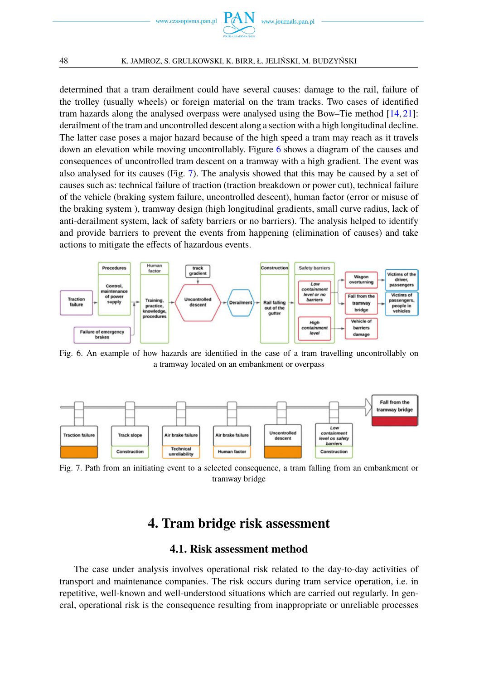

determined that a tram derailment could have several causes: damage to the rail, failure of the trolley (usually wheels) or foreign material on the tram tracks. Two cases of identified tram hazards along the analysed overpass were analysed using the Bow–Tie method [\[14,](#page-18-14) [21\]](#page-18-16): derailment of the tram and uncontrolled descent along a section with a high longitudinal decline. The latter case poses a major hazard because of the high speed a tram may reach as it travels down an elevation while moving uncontrollably. Figure [6](#page-9-0) shows a diagram of the causes and consequences of uncontrolled tram descent on a tramway with a high gradient. The event was also analysed for its causes (Fig. [7\)](#page-9-1). The analysis showed that this may be caused by a set of causes such as: technical failure of traction (traction breakdown or power cut), technical failure of the vehicle (braking system failure, uncontrolled descent), human factor (error or misuse of the braking system ), tramway design (high longitudinal gradients, small curve radius, lack of anti-derailment system, lack of safety barriers or no barriers). The analysis helped to identify and provide barriers to prevent the events from happening (elimination of causes) and take actions to mitigate the effects of hazardous events.

<span id="page-9-0"></span>

Fig. 6. An example of how hazards are identified in the case of a tram travelling uncontrollably on a tramway located on an embankment or overpass

<span id="page-9-1"></span>

Fig. 7. Path from an initiating event to a selected consequence, a tram falling from an embankment or tramway bridge

## **4. Tram bridge risk assessment**

### **4.1. Risk assessment method**

The case under analysis involves operational risk related to the day-to-day activities of transport and maintenance companies. The risk occurs during tram service operation, i.e. in repetitive, well-known and well-understood situations which are carried out regularly. In general, operational risk is the consequence resulting from inappropriate or unreliable processes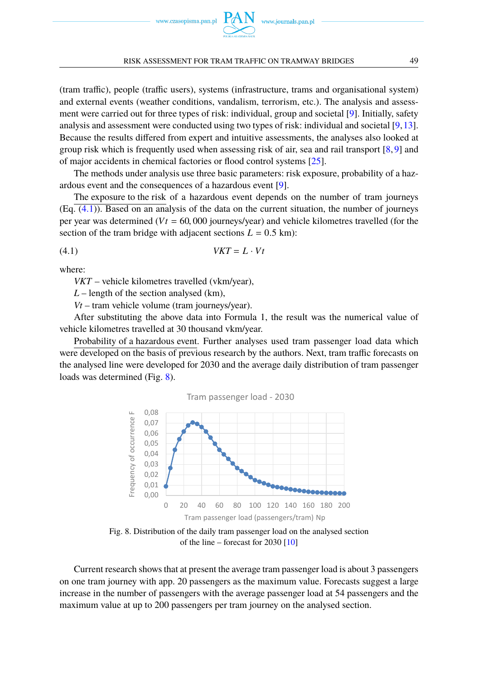

(tram traffic), people (traffic users), systems (infrastructure, trams and organisational system) and external events (weather conditions, vandalism, terrorism, etc.). The analysis and assessment were carried out for three types of risk: individual, group and societal [\[9\]](#page-18-13). Initially, safety analysis and assessment were conducted using two types of risk: individual and societal [\[9,](#page-18-13)[13\]](#page-18-17). Because the results differed from expert and intuitive assessments, the analyses also looked at group risk which is frequently used when assessing risk of air, sea and rail transport [\[8,](#page-18-18) [9\]](#page-18-13) and of major accidents in chemical factories or flood control systems [\[25\]](#page-18-21).

The methods under analysis use three basic parameters: risk exposure, probability of a hazardous event and the consequences of a hazardous event [\[9\]](#page-18-13).

The exposure to the risk of a hazardous event depends on the number of tram journeys (Eq. [\(4.1\)](#page-10-0)). Based on an analysis of the data on the current situation, the number of journeys per year was determined ( $Vt = 60,000$  journeys/year) and vehicle kilometres travelled (for the section of the tram bridge with adjacent sections  $L = 0.5$  km):

$$
(4.1) \t VKT = L \cdot Vt
$$

where:

<span id="page-10-0"></span>*VKT* – vehicle kilometres travelled (vkm/year),

*L* – length of the section analysed (km),

*Vt* – tram vehicle volume (tram journeys/year).

After substituting the above data into Formula 1, the result was the numerical value of vehicle kilometres travelled at 30 thousand vkm/year.

<span id="page-10-1"></span>Probability of a hazardous event. Further analyses used tram passenger load data which were developed on the basis of previous research by the authors. Next, tram traffic forecasts on the analysed line were developed for 2030 and the average daily distribution of tram passenger loads was determined (Fig. [8\)](#page-10-1).





Fig. 8. Distribution of the daily tram passenger load on the analysed section of the line – forecast for  $2030$  [\[10\]](#page-18-10)

Current research shows that at present the average tram passenger load is about 3 passengers on one tram journey with app. 20 passengers as the maximum value. Forecasts suggest a large increase in the number of passengers with the average passenger load at 54 passengers and the maximum value at up to 200 passengers per tram journey on the analysed section.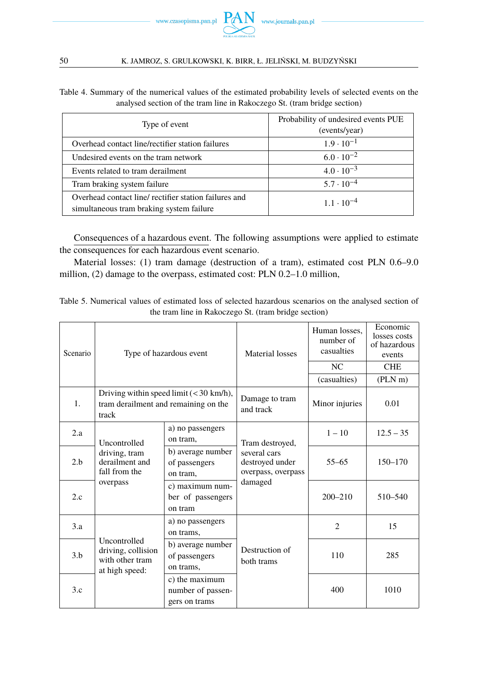

Table 4. Summary of the numerical values of the estimated probability levels of selected events on the analysed section of the tram line in Rakoczego St. (tram bridge section)

| Type of event                                                                                     | Probability of undesired events PUE<br>(events/year) |  |
|---------------------------------------------------------------------------------------------------|------------------------------------------------------|--|
| Overhead contact line/rectifier station failures                                                  | $1.9 \cdot 10^{-1}$                                  |  |
| Undesired events on the tram network                                                              | $6.0 \cdot 10^{-2}$                                  |  |
| Events related to tram derailment                                                                 | $4.0 \cdot 10^{-3}$                                  |  |
| Tram braking system failure                                                                       | $5.7 \cdot 10^{-4}$                                  |  |
| Overhead contact line/ rectifier station failures and<br>simultaneous tram braking system failure | $1.1 \cdot 10^{-4}$                                  |  |

Consequences of a hazardous event. The following assumptions were applied to estimate the consequences for each hazardous event scenario.

Material losses: (1) tram damage (destruction of a tram), estimated cost PLN 0.6–9.0 million, (2) damage to the overpass, estimated cost: PLN 0.2–1.0 million,

Table 5. Numerical values of estimated loss of selected hazardous scenarios on the analysed section of the tram line in Rakoczego St. (tram bridge section)

| Scenario       |                                                                                            | Type of hazardous event                              |                                                                          | Human losses.<br>number of<br>casualties | Economic<br>losses costs<br>of hazardous<br>events |
|----------------|--------------------------------------------------------------------------------------------|------------------------------------------------------|--------------------------------------------------------------------------|------------------------------------------|----------------------------------------------------|
|                |                                                                                            |                                                      |                                                                          | NC                                       | <b>CHE</b>                                         |
|                |                                                                                            |                                                      |                                                                          | (casualties)                             | $(PLN \, m)$                                       |
| $\mathbf{1}$ . | Driving within speed limit $(< 30$ km/h),<br>tram derailment and remaining on the<br>track |                                                      | Damage to tram<br>and track                                              | Minor injuries                           | 0.01                                               |
| 2.a            | Uncontrolled                                                                               | a) no passengers<br>on tram,                         | Tram destroyed,<br>several cars<br>destroyed under<br>overpass, overpass | $1 - 10$                                 | $12.5 - 35$                                        |
| 2.h            | driving, tram<br>derailment and<br>fall from the                                           | b) average number<br>of passengers<br>on tram,       |                                                                          | $55 - 65$                                | $150 - 170$                                        |
| 2.c            | overpass                                                                                   | c) maximum num-<br>ber of passengers<br>on tram      | damaged                                                                  | $200 - 210$                              | 510-540                                            |
| 3.a            |                                                                                            | a) no passengers<br>on trams,                        |                                                                          | $\overline{c}$                           | 15                                                 |
| 3.h            | Uncontrolled<br>driving, collision<br>with other tram<br>at high speed:                    | b) average number<br>of passengers<br>on trams,      | Destruction of<br>both trams                                             | 110                                      | 285                                                |
| 3.c            |                                                                                            | c) the maximum<br>number of passen-<br>gers on trams |                                                                          | 400                                      | 1010                                               |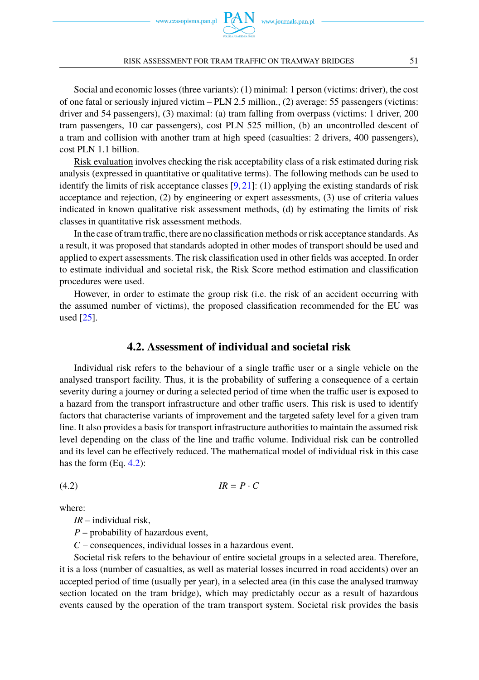www.czasopisma.pan.pl  $P$ 

#### RISK ASSESSMENT FOR TRAM TRAFFIC ON TRAMWAY BRIDGES 51

Social and economic losses (three variants): (1) minimal: 1 person (victims: driver), the cost of one fatal or seriously injured victim – PLN 2.5 million., (2) average: 55 passengers (victims: driver and 54 passengers), (3) maximal: (a) tram falling from overpass (victims: 1 driver, 200 tram passengers, 10 car passengers), cost PLN 525 million, (b) an uncontrolled descent of a tram and collision with another tram at high speed (casualties: 2 drivers, 400 passengers), cost PLN 1.1 billion.

Risk evaluation involves checking the risk acceptability class of a risk estimated during risk analysis (expressed in quantitative or qualitative terms). The following methods can be used to identify the limits of risk acceptance classes [\[9,](#page-18-13) [21\]](#page-18-16): (1) applying the existing standards of risk acceptance and rejection, (2) by engineering or expert assessments, (3) use of criteria values indicated in known qualitative risk assessment methods, (d) by estimating the limits of risk classes in quantitative risk assessment methods.

In the case of tram traffic, there are no classification methods or risk acceptance standards. As a result, it was proposed that standards adopted in other modes of transport should be used and applied to expert assessments. The risk classification used in other fields was accepted. In order to estimate individual and societal risk, the Risk Score method estimation and classification procedures were used.

However, in order to estimate the group risk (i.e. the risk of an accident occurring with the assumed number of victims), the proposed classification recommended for the EU was used [\[25\]](#page-18-21).

### **4.2. Assessment of individual and societal risk**

Individual risk refers to the behaviour of a single traffic user or a single vehicle on the analysed transport facility. Thus, it is the probability of suffering a consequence of a certain severity during a journey or during a selected period of time when the traffic user is exposed to a hazard from the transport infrastructure and other traffic users. This risk is used to identify factors that characterise variants of improvement and the targeted safety level for a given tram line. It also provides a basis for transport infrastructure authorities to maintain the assumed risk level depending on the class of the line and traffic volume. Individual risk can be controlled and its level can be effectively reduced. The mathematical model of individual risk in this case has the form (Eq. [4.2\)](#page-12-0):

$$
(4.2) \t IR = P \cdot C
$$

where:

<span id="page-12-0"></span>*IR* – individual risk,

*P* – probability of hazardous event,

*C* – consequences, individual losses in a hazardous event.

Societal risk refers to the behaviour of entire societal groups in a selected area. Therefore, it is a loss (number of casualties, as well as material losses incurred in road accidents) over an accepted period of time (usually per year), in a selected area (in this case the analysed tramway section located on the tram bridge), which may predictably occur as a result of hazardous events caused by the operation of the tram transport system. Societal risk provides the basis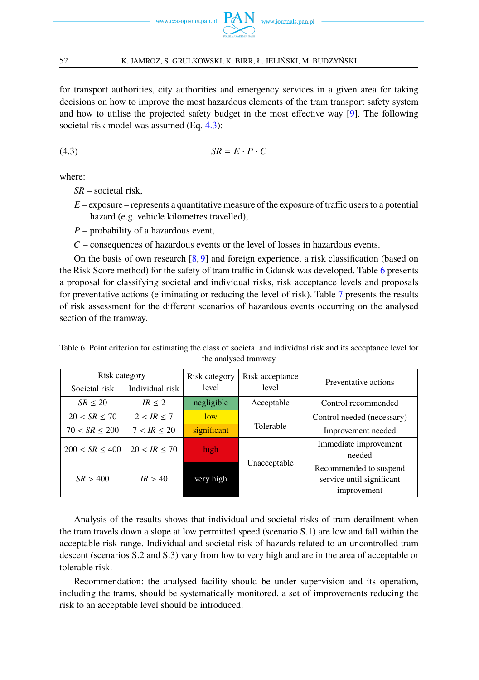for transport authorities, city authorities and emergency services in a given area for taking decisions on how to improve the most hazardous elements of the tram transport safety system and how to utilise the projected safety budget in the most effective way [\[9\]](#page-18-13). The following societal risk model was assumed (Eq. [4.3\)](#page-13-0):

$$
(4.3) \t SR = E \cdot P \cdot C
$$

where:

<span id="page-13-0"></span>*SR* – societal risk,

*E* – exposure – represents a quantitative measure of the exposure of traffic users to a potential hazard (e.g. vehicle kilometres travelled),

*P* – probability of a hazardous event,

*C* – consequences of hazardous events or the level of losses in hazardous events.

On the basis of own research  $[8, 9]$  $[8, 9]$  $[8, 9]$  and foreign experience, a risk classification (based on the Risk Score method) for the safety of tram traffic in Gdansk was developed. Table [6](#page-13-1) presents a proposal for classifying societal and individual risks, risk acceptance levels and proposals for preventative actions (eliminating or reducing the level of risk). Table [7](#page-14-0) presents the results of risk assessment for the different scenarios of hazardous events occurring on the analysed section of the tramway.

| Risk category<br>Individual risk<br>Societal risk |              | Risk category<br>level | Risk acceptance<br>level | Preventative actions                                               |  |
|---------------------------------------------------|--------------|------------------------|--------------------------|--------------------------------------------------------------------|--|
| SR < 20                                           | IR < 2       | negligible             |                          | Control recommended                                                |  |
|                                                   |              |                        | Acceptable               |                                                                    |  |
| 20 < SR < 70                                      | 2 < IR < 7   | low                    |                          | Control needed (necessary)                                         |  |
| $70 < SR \leq 200$                                | 7 < IR < 20  | significant            | Tolerable                | Improvement needed                                                 |  |
| $200 < SR \leq 400$                               | 20 < IR < 70 | high                   |                          | Immediate improvement<br>needed                                    |  |
| SR > 400                                          | IR > 40      | very high              | Unacceptable             | Recommended to suspend<br>service until significant<br>improvement |  |

<span id="page-13-1"></span>Table 6. Point criterion for estimating the class of societal and individual risk and its acceptance level for the analysed tramway

Analysis of the results shows that individual and societal risks of tram derailment when the tram travels down a slope at low permitted speed (scenario S.1) are low and fall within the acceptable risk range. Individual and societal risk of hazards related to an uncontrolled tram descent (scenarios S.2 and S.3) vary from low to very high and are in the area of acceptable or tolerable risk.

Recommendation: the analysed facility should be under supervision and its operation, including the trams, should be systematically monitored, a set of improvements reducing the risk to an acceptable level should be introduced.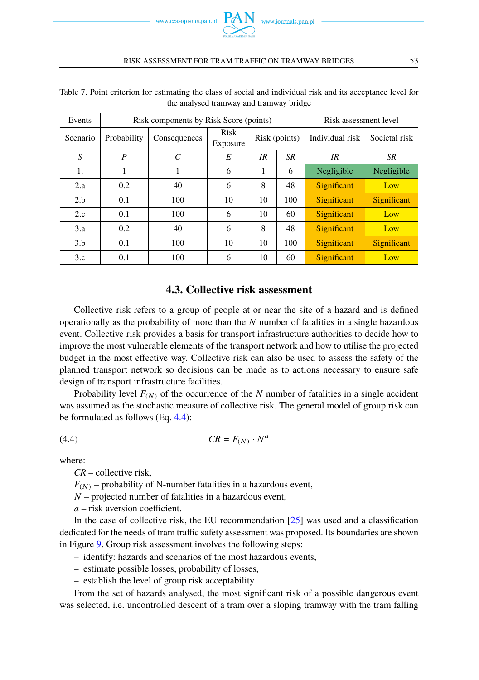

| Events   | Risk components by Risk Score (points) |              |                         |               |           | Risk assessment level |               |
|----------|----------------------------------------|--------------|-------------------------|---------------|-----------|-----------------------|---------------|
| Scenario | Probability                            | Consequences | <b>Risk</b><br>Exposure | Risk (points) |           | Individual risk       | Societal risk |
| S        | P                                      | C            | E                       | IR            | <b>SR</b> | IR                    | SR            |
| 1.       |                                        |              | 6                       | 1             | 6         | Negligible            | Negligible    |
| 2.a      | 0.2                                    | 40           | 6                       | 8             | 48        | Significant           | Low           |
| 2.b      | 0.1                                    | 100          | 10                      | 10            | 100       | Significant           | Significant   |
| 2.c      | 0.1                                    | 100          | 6                       | 10            | 60        | Significant           | Low           |
| 3.a      | 0.2                                    | 40           | 6                       | 8             | 48        | Significant           | Low           |
| 3.h      | 0.1                                    | 100          | 10                      | 10            | 100       | Significant           | Significant   |
| 3.c      | 0.1                                    | 100          | 6                       | 10            | 60        | Significant           | Low           |

<span id="page-14-0"></span>Table 7. Point criterion for estimating the class of social and individual risk and its acceptance level for the analysed tramway and tramway bridge

## **4.3. Collective risk assessment**

Collective risk refers to a group of people at or near the site of a hazard and is defined operationally as the probability of more than the *N* number of fatalities in a single hazardous event. Collective risk provides a basis for transport infrastructure authorities to decide how to improve the most vulnerable elements of the transport network and how to utilise the projected budget in the most effective way. Collective risk can also be used to assess the safety of the planned transport network so decisions can be made as to actions necessary to ensure safe design of transport infrastructure facilities.

Probability level  $F_{(N)}$  of the occurrence of the *N* number of fatalities in a single accident was assumed as the stochastic measure of collective risk. The general model of group risk can be formulated as follows (Eq. [4.4\)](#page-14-1):

$$
(4.4) \t\t CR = F_{(N)} \cdot N^a
$$

where:

<span id="page-14-1"></span>*CR* – collective risk,

 $F(N)$  – probability of N-number fatalities in a hazardous event,

*N* – projected number of fatalities in a hazardous event,

*a* – risk aversion coefficient.

In the case of collective risk, the EU recommendation [\[25\]](#page-18-21) was used and a classification dedicated for the needs of tram traffic safety assessment was proposed. Its boundaries are shown in Figure [9.](#page-15-0) Group risk assessment involves the following steps:

– identify: hazards and scenarios of the most hazardous events,

- estimate possible losses, probability of losses,
- establish the level of group risk acceptability.

From the set of hazards analysed, the most significant risk of a possible dangerous event was selected, i.e. uncontrolled descent of a tram over a sloping tramway with the tram falling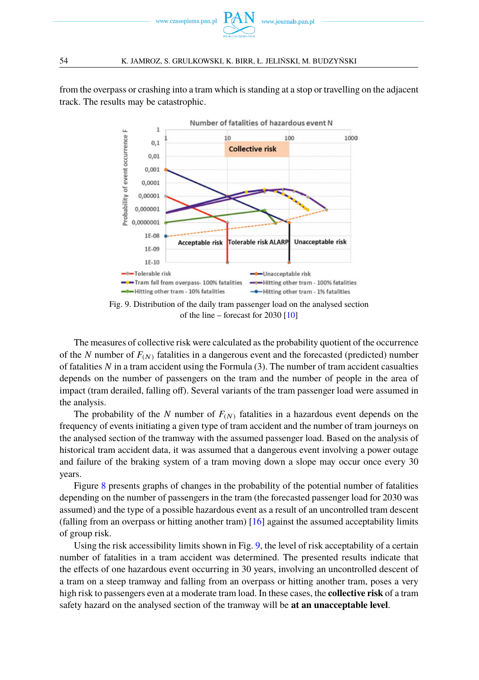

<span id="page-15-0"></span>from the overpass or crashing into a tram which is standing at a stop or travelling on the adjacent track. The results may be catastrophic.



Fig. 9. Distribution of the daily tram passenger load on the analysed section of the line – forecast for 2030  $[10]$ 

The measures of collective risk were calculated as the probability quotient of the occurrence of the *N* number of  $F_{(N)}$  fatalities in a dangerous event and the forecasted (predicted) number of fatalities *N* in a tram accident using the Formula (3). The number of tram accident casualties depends on the number of passengers on the tram and the number of people in the area of impact (tram derailed, falling off). Several variants of the tram passenger load were assumed in the analysis.

The probability of the *N* number of  $F_N$  fatalities in a hazardous event depends on the frequency of events initiating a given type of tram accident and the number of tram journeys on the analysed section of the tramway with the assumed passenger load. Based on the analysis of historical tram accident data, it was assumed that a dangerous event involving a power outage and failure of the braking system of a tram moving down a slope may occur once every 30 years.

Figure [8](#page-10-1) presents graphs of changes in the probability of the potential number of fatalities depending on the number of passengers in the tram (the forecasted passenger load for 2030 was assumed) and the type of a possible hazardous event as a result of an uncontrolled tram descent (falling from an overpass or hitting another tram) [\[16\]](#page-18-5) against the assumed acceptability limits of group risk.

Using the risk accessibility limits shown in Fig. [9,](#page-15-0) the level of risk acceptability of a certain number of fatalities in a tram accident was determined. The presented results indicate that the effects of one hazardous event occurring in 30 years, involving an uncontrolled descent of a tram on a steep tramway and falling from an overpass or hitting another tram, poses a very high risk to passengers even at a moderate tram load. In these cases, the **collective risk** of a tram safety hazard on the analysed section of the tramway will be **at an unacceptable level**.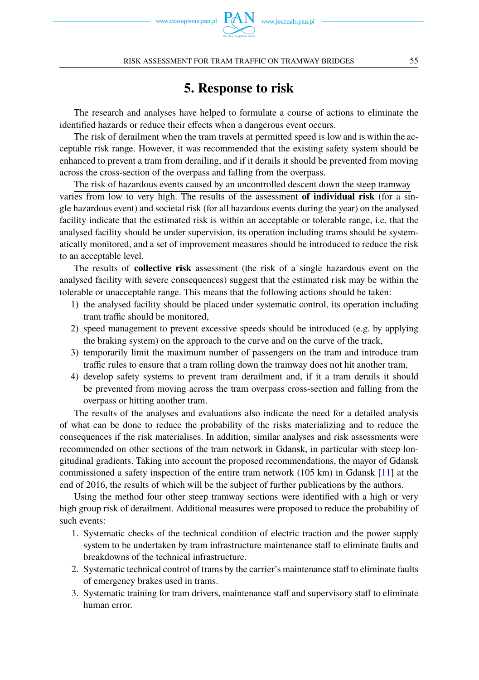

# **5. Response to risk**

The research and analyses have helped to formulate a course of actions to eliminate the identified hazards or reduce their effects when a dangerous event occurs.

The risk of derailment when the tram travels at permitted speed is low and is within the acceptable risk range. However, it was recommended that the existing safety system should be enhanced to prevent a tram from derailing, and if it derails it should be prevented from moving across the cross-section of the overpass and falling from the overpass.

The risk of hazardous events caused by an uncontrolled descent down the steep tramway varies from low to very high. The results of the assessment **of individual risk** (for a single hazardous event) and societal risk (for all hazardous events during the year) on the analysed facility indicate that the estimated risk is within an acceptable or tolerable range, i.e. that the analysed facility should be under supervision, its operation including trams should be systematically monitored, and a set of improvement measures should be introduced to reduce the risk to an acceptable level.

The results of **collective risk** assessment (the risk of a single hazardous event on the analysed facility with severe consequences) suggest that the estimated risk may be within the tolerable or unacceptable range. This means that the following actions should be taken:

- 1) the analysed facility should be placed under systematic control, its operation including tram traffic should be monitored,
- 2) speed management to prevent excessive speeds should be introduced (e.g. by applying the braking system) on the approach to the curve and on the curve of the track,
- 3) temporarily limit the maximum number of passengers on the tram and introduce tram traffic rules to ensure that a tram rolling down the tramway does not hit another tram,
- 4) develop safety systems to prevent tram derailment and, if it a tram derails it should be prevented from moving across the tram overpass cross-section and falling from the overpass or hitting another tram.

The results of the analyses and evaluations also indicate the need for a detailed analysis of what can be done to reduce the probability of the risks materializing and to reduce the consequences if the risk materialises. In addition, similar analyses and risk assessments were recommended on other sections of the tram network in Gdansk, in particular with steep longitudinal gradients. Taking into account the proposed recommendations, the mayor of Gdansk commissioned a safety inspection of the entire tram network (105 km) in Gdansk [\[11\]](#page-18-22) at the end of 2016, the results of which will be the subject of further publications by the authors.

Using the method four other steep tramway sections were identified with a high or very high group risk of derailment. Additional measures were proposed to reduce the probability of such events:

- 1. Systematic checks of the technical condition of electric traction and the power supply system to be undertaken by tram infrastructure maintenance staff to eliminate faults and breakdowns of the technical infrastructure.
- 2. Systematic technical control of trams by the carrier's maintenance staff to eliminate faults of emergency brakes used in trams.
- 3. Systematic training for tram drivers, maintenance staff and supervisory staff to eliminate human error.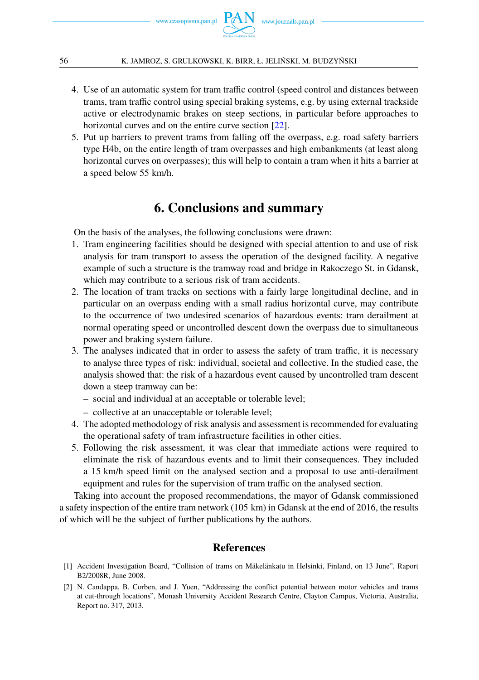

- 4. Use of an automatic system for tram traffic control (speed control and distances between trams, tram traffic control using special braking systems, e.g. by using external trackside active or electrodynamic brakes on steep sections, in particular before approaches to horizontal curves and on the entire curve section [\[22\]](#page-18-20).
- 5. Put up barriers to prevent trams from falling off the overpass, e.g. road safety barriers type H4b, on the entire length of tram overpasses and high embankments (at least along horizontal curves on overpasses); this will help to contain a tram when it hits a barrier at a speed below 55 km/h.

# **6. Conclusions and summary**

On the basis of the analyses, the following conclusions were drawn:

- 1. Tram engineering facilities should be designed with special attention to and use of risk analysis for tram transport to assess the operation of the designed facility. A negative example of such a structure is the tramway road and bridge in Rakoczego St. in Gdansk, which may contribute to a serious risk of tram accidents.
- 2. The location of tram tracks on sections with a fairly large longitudinal decline, and in particular on an overpass ending with a small radius horizontal curve, may contribute to the occurrence of two undesired scenarios of hazardous events: tram derailment at normal operating speed or uncontrolled descent down the overpass due to simultaneous power and braking system failure.
- 3. The analyses indicated that in order to assess the safety of tram traffic, it is necessary to analyse three types of risk: individual, societal and collective. In the studied case, the analysis showed that: the risk of a hazardous event caused by uncontrolled tram descent down a steep tramway can be:
	- social and individual at an acceptable or tolerable level;
	- collective at an unacceptable or tolerable level;
- 4. The adopted methodology of risk analysis and assessment is recommended for evaluating the operational safety of tram infrastructure facilities in other cities.
- 5. Following the risk assessment, it was clear that immediate actions were required to eliminate the risk of hazardous events and to limit their consequences. They included a 15 km/h speed limit on the analysed section and a proposal to use anti-derailment equipment and rules for the supervision of tram traffic on the analysed section.

Taking into account the proposed recommendations, the mayor of Gdansk commissioned a safety inspection of the entire tram network (105 km) in Gdansk at the end of 2016, the results of which will be the subject of further publications by the authors.

## **References**

- <span id="page-17-1"></span>[1] Accident Investigation Board, "Collision of trams on Mäkelänkatu in Helsinki, Finland, on 13 June", Raport B2/2008R, June 2008.
- <span id="page-17-0"></span>[2] N. Candappa, B. Corben, and J. Yuen, "Addressing the conflict potential between motor vehicles and trams at cut-through locations", Monash University Accident Research Centre, Clayton Campus, Victoria, Australia, Report no. 317, 2013.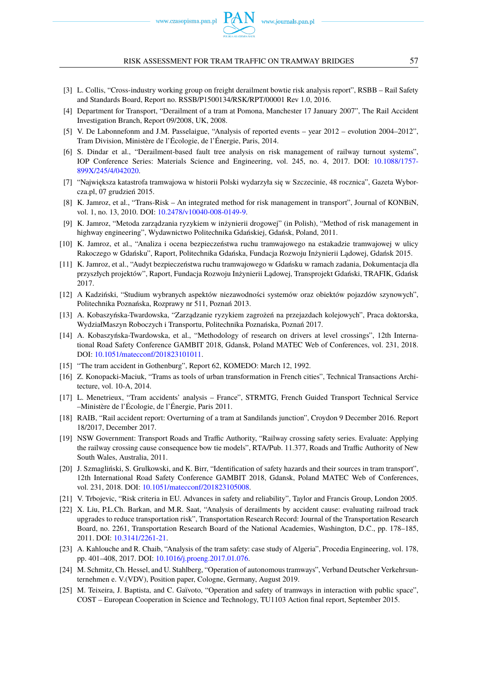www.czasopisma.pan.pl

#### RISK ASSESSMENT FOR TRAM TRAFFIC ON TRAMWAY BRIDGES 57

- <span id="page-18-8"></span>[3] L. Collis, "Cross-industry working group on freight derailment bowtie risk analysis report", RSBB – Rail Safety and Standards Board, Report no. RSSB/P1500134/RSK/RPT/00001 Rev 1.0, 2016.
- <span id="page-18-3"></span>[4] Department for Transport, "Derailment of a tram at Pomona, Manchester 17 January 2007", The Rail Accident Investigation Branch, Report 09/2008, UK, 2008.
- <span id="page-18-2"></span>[5] V. De Labonnefonm and J.M. Passelaigue, "Analysis of reported events – year 2012 – evolution 2004–2012", Tram Division, Ministère de l'Écologie, de l'Énergie, Paris, 2014.
- <span id="page-18-12"></span>[6] S. Dindar et al., "Derailment-based fault tree analysis on risk management of railway turnout systems", IOP Conference Series: Materials Science and Engineering, vol. 245, no. 4, 2017. DOI: [10.1088/1757-](https://doi.org/10.1063/1.2963925) [899X/245/4/042020.](https://doi.org/10.1063/1.2963925)
- <span id="page-18-4"></span>[7] "Największa katastrofa tramwajowa w historii Polski wydarzyła się w Szczecinie, 48 rocznica", Gazeta Wyborcza.pl, 07 grudzień 2015.
- <span id="page-18-18"></span>[8] K. Jamroz, et al., "Trans-Risk – An integrated method for risk management in transport", Journal of KONBiN, vol. 1, no. 13, 2010. DOI: [10.2478/v10040-008-0149-9.](https://doi.org/10.2478/v10040-008-0149-9)
- <span id="page-18-13"></span>[9] K. Jamroz, "Metoda zarządzania ryzykiem w inżynierii drogowej" (in Polish), "Method of risk management in highway engineering", Wydawnictwo Politechnika Gdańskiej, Gdańsk, Poland, 2011.
- <span id="page-18-10"></span>[10] K. Jamroz, et al., "Analiza i ocena bezpieczeństwa ruchu tramwajowego na estakadzie tramwajowej w ulicy Rakoczego w Gdańsku", Raport, Politechnika Gdańska, Fundacja Rozwoju Inżynierii Lądowej, Gdańsk 2015.
- <span id="page-18-22"></span>[11] K. Jamroz, et al., "Audyt bezpieczeństwa ruchu tramwajowego w Gdańsku w ramach zadania, Dokumentacja dla przyszłych projektów", Raport, Fundacja Rozwoju Inżynierii L ˛adowej, Transprojekt Gdański, TRAFIK, Gdańsk 2017.
- <span id="page-18-19"></span>[12] A Kadziński, "Studium wybranych aspektów niezawodności systemów oraz obiektów pojazdów szynowych", Politechnika Poznańska, Rozprawy nr 511, Poznań 2013.
- <span id="page-18-17"></span>[13] A. Kobaszyńska-Twardowska, "Zarzadzanie ryzykiem zagrożeń na przejazdach kolejowych", Praca doktorska, WydziałMaszyn Roboczych i Transportu, Politechnika Poznańska, Poznań 2017.
- <span id="page-18-14"></span>[14] A. Kobaszyńska-Twardowska, et al., "Methodology of research on drivers at level crossings", 12th International Road Safety Conference GAMBIT 2018, Gdansk, Poland MATEC Web of Conferences, vol. 231, 2018. DOI: [10.1051/matecconf/201823101011.](https://doi.org/10.1051/matecconf/201823101011)
- <span id="page-18-15"></span>[15] "The tram accident in Gothenburg", Report 62, KOMEDO: March 12, 1992.
- <span id="page-18-5"></span>[16] Z. Konopacki-Maciuk, "Trams as tools of urban transformation in French cities", Technical Transactions Architecture, vol. 10-A, 2014.
- <span id="page-18-0"></span>[17] L. Menetrieux, "Tram accidents' analysis – France", STRMTG, French Guided Transport Technical Service –Ministère de l'Écologie, de l'Énergie, Paris 2011.
- <span id="page-18-9"></span>[18] RAIB, "Rail accident report: Overturning of a tram at Sandilands junction", Croydon 9 December 2016. Report 18/2017, December 2017.
- <span id="page-18-6"></span>[19] NSW Government: Transport Roads and Traffic Authority, "Railway crossing safety series. Evaluate: Applying the railway crossing cause consequence bow tie models", RTA/Pub. 11.377, Roads and Traffic Authority of New South Wales, Australia, 2011.
- <span id="page-18-7"></span>[20] J. Szmagliński, S. Grulkowski, and K. Birr, "Identification of safety hazards and their sources in tram transport", 12th International Road Safety Conference GAMBIT 2018, Gdansk, Poland MATEC Web of Conferences, vol. 231, 2018. DOI: [10.1051/matecconf/201823105008.](https://doi.org/10.1051/matecconf/201823105008)
- <span id="page-18-16"></span>[21] V. Trbojevic, "Risk criteria in EU. Advances in safety and reliability", Taylor and Francis Group, London 2005.
- <span id="page-18-20"></span>[22] X. Liu, P.L.Ch. Barkan, and M.R. Saat, "Analysis of derailments by accident cause: evaluating railroad track upgrades to reduce transportation risk", Transportation Research Record: Journal of the Transportation Research Board, no. 2261, Transportation Research Board of the National Academies, Washington, D.C., pp. 178–185, 2011. DOI: [10.3141/2261-21.](https://doi.org/10.3141/2261-21)
- <span id="page-18-11"></span>[23] A. Kahlouche and R. Chaib, "Analysis of the tram safety: case study of Algeria", Procedia Engineering, vol. 178, pp. 401–408, 2017. DOI: [10.1016/j.proeng.2017.01.076.](https://doi.org/10.1016/j.proeng.2017.01.076)
- <span id="page-18-1"></span>[24] M. Schmitz, Ch. Hessel, and U. Stahlberg, "Operation of autonomous tramways", Verband Deutscher Verkehrsunternehmen e. V.(VDV), Position paper, Cologne, Germany, August 2019.
- <span id="page-18-21"></span>[25] M. Teixeira, J. Baptista, and C. Gaïvoto, "Operation and safety of tramways in interaction with public space", COST – European Cooperation in Science and Technology, TU1103 Action final report, September 2015.